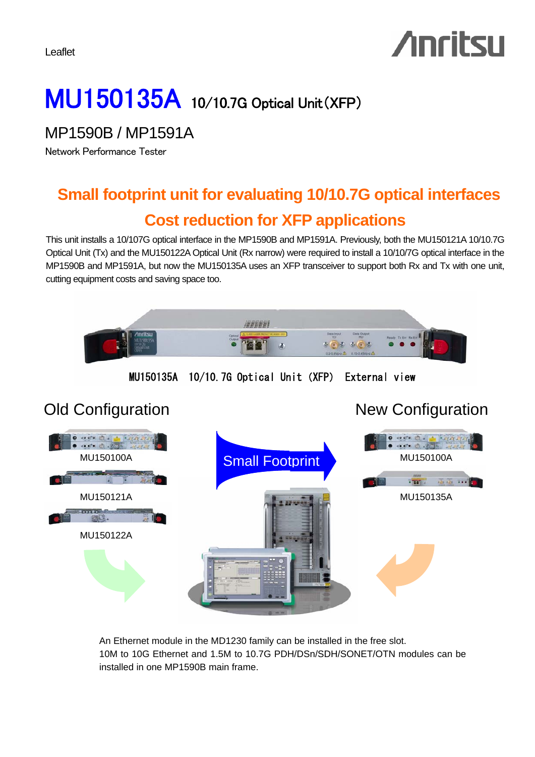Leaflet

# **Anritsu**

## MU150135A 10/10.7G Optical Unit(XFP)

MP1590B / MP1591A

Network Performance Tester

## **Small footprint unit for evaluating 10/10.7G optical interfaces Cost reduction for XFP applications**

This unit installs a 10/107G optical interface in the MP1590B and MP1591A. Previously, both the MU150121A 10/10.7G Optical Unit (Tx) and the MU150122A Optical Unit (Rx narrow) were required to install a 10/10/7G optical interface in the MP1590B and MP1591A, but now the MU150135A uses an XFP transceiver to support both Rx and Tx with one unit, cutting equipment costs and saving space too.



An Ethernet module in the MD1230 family can be installed in the free slot. 10M to 10G Ethernet and 1.5M to 10.7G PDH/DSn/SDH/SONET/OTN modules can be installed in one MP1590B main frame.